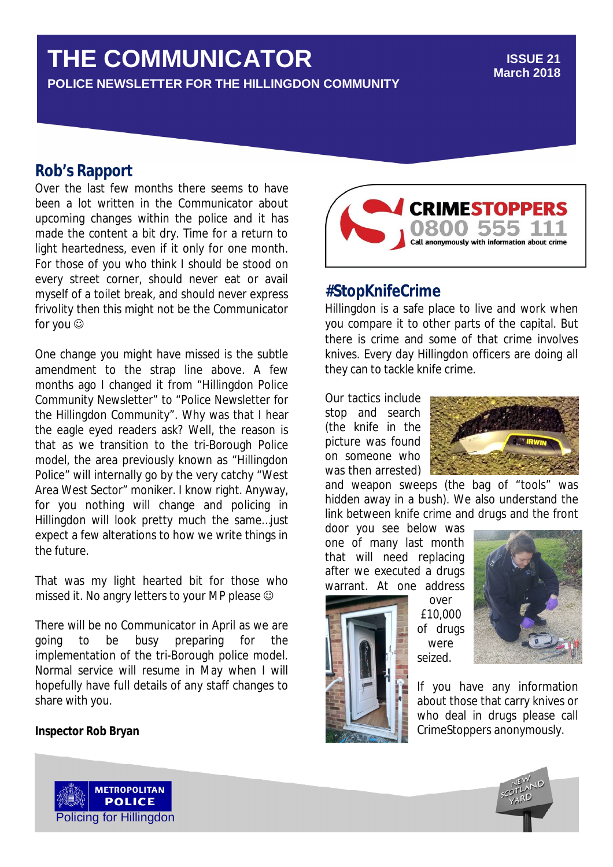# **THE COMMUNICATOR**

**POLICE NEWSLETTER FOR THE HILLINGDON COMMUNITY**

#### **ISSUE 21 March 2018**

## **Rob's Rapport**

Over the last few months there seems to have been a lot written in the Communicator about upcoming changes within the police and it has made the content a bit dry. Time for a return to light heartedness, even if it only for one month. For those of you who think I should be stood on every street corner, should never eat or avail myself of a toilet break, and should never express frivolity then this might not be the Communicator for you

One change you might have missed is the subtle amendment to the strap line above. A few months ago I changed it from "Hillingdon Police Community Newsletter" to "Police Newsletter for the Hillingdon Community". Why was that I hear the eagle eyed readers ask? Well, the reason is that as we transition to the tri-Borough Police model, the area previously known as "Hillingdon Police" will internally go by the very catchy "West Area West Sector" moniker. I know right. Anyway, for you nothing will change and policing in Hillingdon will look pretty much the same…just expect a few alterations to how we write things in the future.

That was my light hearted bit for those who missed it. No angry letters to your MP please

There will be no Communicator in April as we are going to be busy preparing for the implementation of the tri-Borough police model. Normal service will resume in May when I will hopefully have full details of any staff changes to share with you.

#### **Inspector Rob Bryan**



### **#StopKnifeCrime**

Hillingdon is a safe place to live and work when you compare it to other parts of the capital. But there is crime and some of that crime involves knives. Every day Hillingdon officers are doing all they can to tackle knife crime.

Our tactics include stop and search (the knife in the picture was found on someone who was then arrested)



and weapon sweeps (the bag of "tools" was hidden away in a bush). We also understand the link between knife crime and drugs and the front

door you see below was one of many last month that will need replacing after we executed a drugs warrant. At one address

> over £10,000 of drugs were seized.



If you have any information about those that carry knives or who deal in drugs please call CrimeStoppers anonymously.